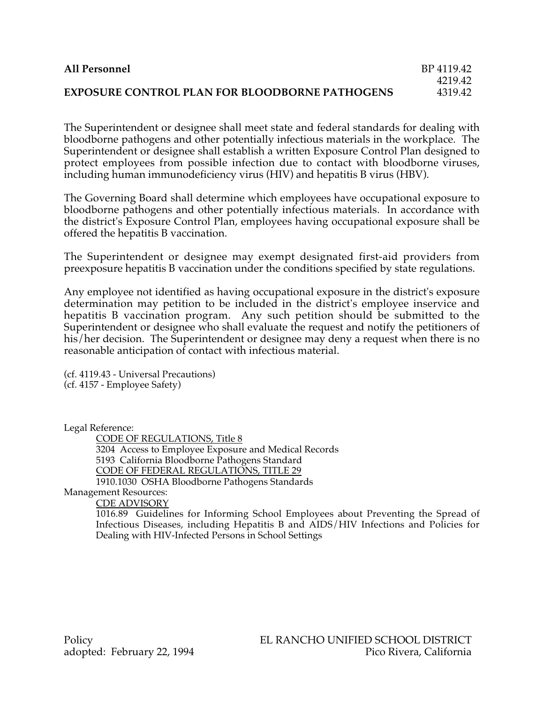| <b>All Personnel</b>                                  | BP 4119.42 |
|-------------------------------------------------------|------------|
|                                                       | 421942     |
| <b>EXPOSURE CONTROL PLAN FOR BLOODBORNE PATHOGENS</b> | 4319.42    |

The Superintendent or designee shall meet state and federal standards for dealing with bloodborne pathogens and other potentially infectious materials in the workplace. The Superintendent or designee shall establish a written Exposure Control Plan designed to protect employees from possible infection due to contact with bloodborne viruses, including human immunodeficiency virus (HIV) and hepatitis B virus (HBV).

The Governing Board shall determine which employees have occupational exposure to bloodborne pathogens and other potentially infectious materials. In accordance with the district's Exposure Control Plan, employees having occupational exposure shall be offered the hepatitis B vaccination.

The Superintendent or designee may exempt designated first-aid providers from preexposure hepatitis B vaccination under the conditions specified by state regulations.

Any employee not identified as having occupational exposure in the district's exposure determination may petition to be included in the district's employee inservice and hepatitis B vaccination program. Any such petition should be submitted to the Superintendent or designee who shall evaluate the request and notify the petitioners of his/her decision. The Superintendent or designee may deny a request when there is no reasonable anticipation of contact with infectious material.

(cf. 4119.43 - Universal Precautions) (cf. 4157 - Employee Safety)

Legal Reference:

CODE OF REGULATIONS, Title 8 3204 Access to Employee Exposure and Medical Records 5193 California Bloodborne Pathogens Standard CODE OF FEDERAL REGULATIONS, TITLE 29 1910.1030 OSHA Bloodborne Pathogens Standards Management Resources:

CDE ADVISORY

1016.89 Guidelines for Informing School Employees about Preventing the Spread of Infectious Diseases, including Hepatitis B and AIDS/HIV Infections and Policies for Dealing with HIV-Infected Persons in School Settings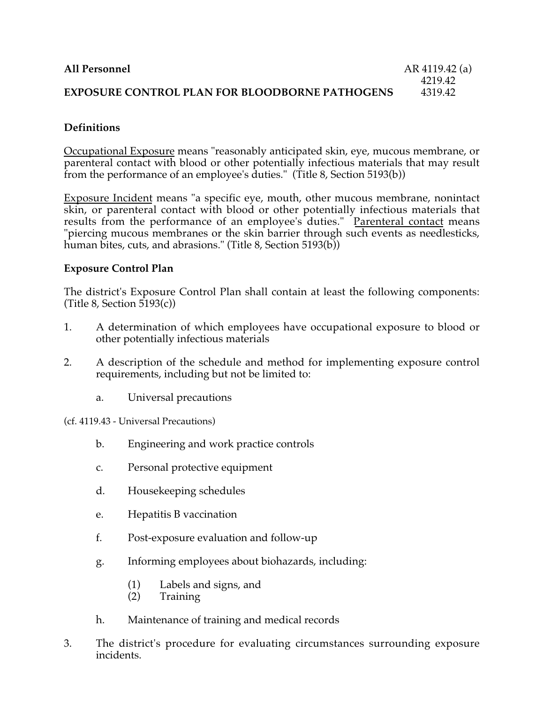# **All Personnel** AR 4119.42 (a) 4219.42<br>4319.42 **EXPOSURE CONTROL PLAN FOR BLOODBORNE PATHOGENS**

# **Definitions**

Occupational Exposure means "reasonably anticipated skin, eye, mucous membrane, or parenteral contact with blood or other potentially infectious materials that may result from the performance of an employee's duties." (Title 8, Section 5193(b))

Exposure Incident means "a specific eye, mouth, other mucous membrane, nonintact skin, or parenteral contact with blood or other potentially infectious materials that results from the performance of an employee's duties." Parenteral contact means "piercing mucous membranes or the skin barrier through such events as needlesticks, human bites, cuts, and abrasions." (Title 8, Section 5193(b))

# **Exposure Control Plan**

The district's Exposure Control Plan shall contain at least the following components: (Title 8, Section  $\overline{5193(c)}$ )

- 1. A determination of which employees have occupational exposure to blood or other potentially infectious materials
- 2. A description of the schedule and method for implementing exposure control requirements, including but not be limited to:
	- a. Universal precautions

(cf. 4119.43 - Universal Precautions)

- b. Engineering and work practice controls
- c. Personal protective equipment
- d. Housekeeping schedules
- e. Hepatitis B vaccination
- f. Post-exposure evaluation and follow-up
- g. Informing employees about biohazards, including:
	- (1) Labels and signs, and
	- (2) Training
- h. Maintenance of training and medical records
- 3. The district's procedure for evaluating circumstances surrounding exposure incidents.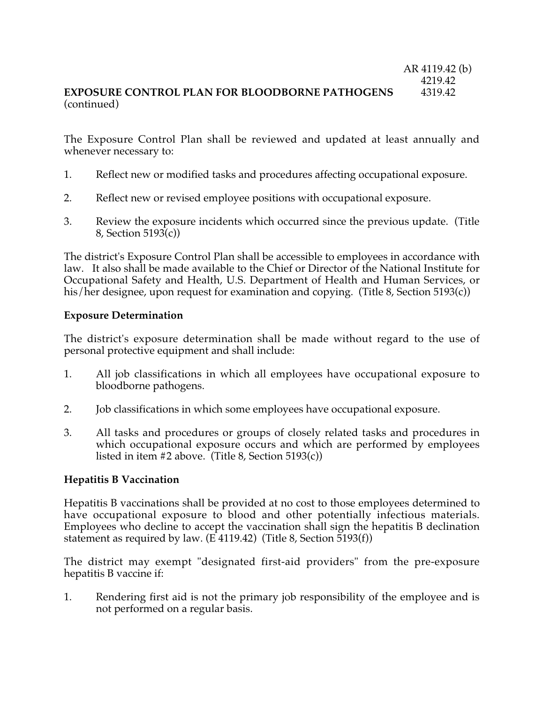#### AR 4119.42 (b) 4219.42<br>4319.42 **EXPOSURE CONTROL PLAN FOR BLOODBORNE PATHOGENS** (continued)

The Exposure Control Plan shall be reviewed and updated at least annually and whenever necessary to:

- 1. Reflect new or modified tasks and procedures affecting occupational exposure.
- 2. Reflect new or revised employee positions with occupational exposure.
- 3. Review the exposure incidents which occurred since the previous update. (Title 8, Section 5193(c))

The district's Exposure Control Plan shall be accessible to employees in accordance with law. It also shall be made available to the Chief or Director of the National Institute for Occupational Safety and Health, U.S. Department of Health and Human Services, or his/her designee, upon request for examination and copying. (Title 8, Section 5193(c))

# **Exposure Determination**

The district's exposure determination shall be made without regard to the use of personal protective equipment and shall include:

- 1. All job classifications in which all employees have occupational exposure to bloodborne pathogens.
- 2. Job classifications in which some employees have occupational exposure.
- 3. All tasks and procedures or groups of closely related tasks and procedures in which occupational exposure occurs and which are performed by employees listed in item #2 above. (Title 8, Section 5193 $(c)$ )

### **Hepatitis B Vaccination**

Hepatitis B vaccinations shall be provided at no cost to those employees determined to have occupational exposure to blood and other potentially infectious materials. Employees who decline to accept the vaccination shall sign the hepatitis B declination statement as required by law. (E 4119.42) (Title 8, Section 5193(f))

The district may exempt "designated first-aid providers" from the pre-exposure hepatitis B vaccine if:

1. Rendering first aid is not the primary job responsibility of the employee and is not performed on a regular basis.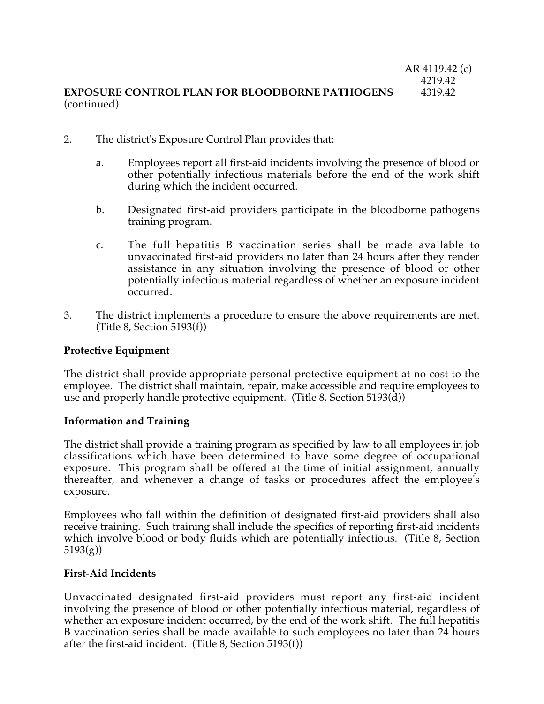#### AR 4119.42 (c) 4219.42<br>4319.42 **EXPOSURE CONTROL PLAN FOR BLOODBORNE PATHOGENS** (continued)

- 2. The district's Exposure Control Plan provides that:
	- a. Employees report all first-aid incidents involving the presence of blood or other potentially infectious materials before the end of the work shift during which the incident occurred.
	- b. Designated first-aid providers participate in the bloodborne pathogens training program.
	- c. The full hepatitis B vaccination series shall be made available to unvaccinated first-aid providers no later than 24 hours after they render assistance in any situation involving the presence of blood or other potentially infectious material regardless of whether an exposure incident occurred.
- 3. The district implements a procedure to ensure the above requirements are met. (Title 8, Section 5193(f))

## **Protective Equipment**

The district shall provide appropriate personal protective equipment at no cost to the employee. The district shall maintain, repair, make accessible and require employees to use and properly handle protective equipment. (Title 8, Section 5193(d))

### **Information and Training**

The district shall provide a training program as specified by law to all employees in job classifications which have been determined to have some degree of occupational exposure. This program shall be offered at the time of initial assignment, annually thereafter, and whenever a change of tasks or procedures affect the employee's exposure.

Employees who fall within the definition of designated first-aid providers shall also receive training. Such training shall include the specifics of reporting first-aid incidents which involve blood or body fluids which are potentially infectious. (Title 8, Section 5193(g))

### **First-Aid Incidents**

Unvaccinated designated first-aid providers must report any first-aid incident involving the presence of blood or other potentially infectious material, regardless of whether an exposure incident occurred, by the end of the work shift. The full hepatitis B vaccination series shall be made available to such employees no later than 24 hours after the first-aid incident. (Title 8, Section 5193(f))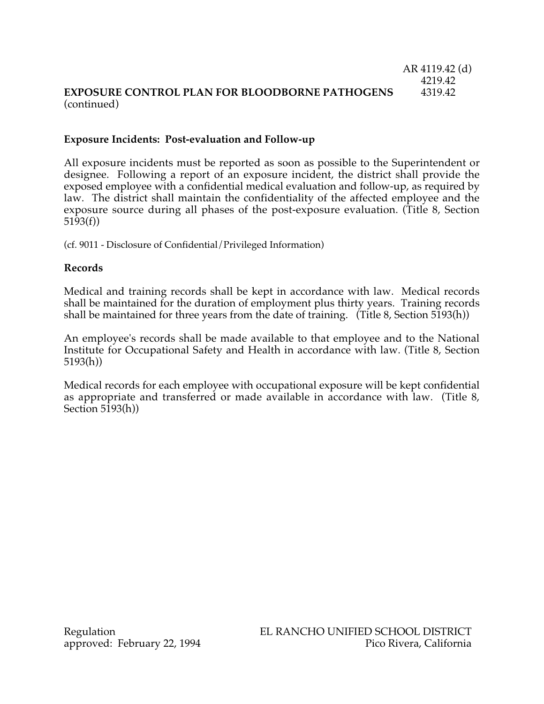#### AR 4119.42 (d) 4219.42<br>4319.42 **EXPOSURE CONTROL PLAN FOR BLOODBORNE PATHOGENS** (continued)

## **Exposure Incidents: Post-evaluation and Follow-up**

All exposure incidents must be reported as soon as possible to the Superintendent or designee. Following a report of an exposure incident, the district shall provide the exposed employee with a confidential medical evaluation and follow-up, as required by law. The district shall maintain the confidentiality of the affected employee and the exposure source during all phases of the post-exposure evaluation. (Title 8, Section 5193(f))

(cf. 9011 - Disclosure of Confidential/Privileged Information)

### **Records**

Medical and training records shall be kept in accordance with law. Medical records shall be maintained for the duration of employment plus thirty years. Training records shall be maintained for three years from the date of training. (Title 8, Section 5193(h))

An employee's records shall be made available to that employee and to the National Institute for Occupational Safety and Health in accordance with law. (Title 8, Section 5193(h))

Medical records for each employee with occupational exposure will be kept confidential as appropriate and transferred or made available in accordance with law. (Title 8, Section 5193(h))